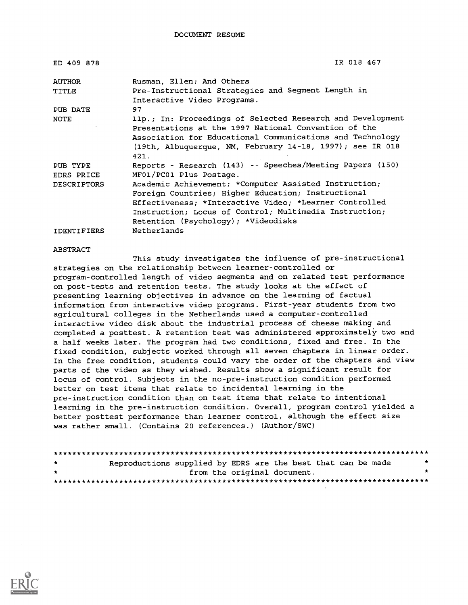| ED 409 878         | IR 018 467                                                 |
|--------------------|------------------------------------------------------------|
| AUTHOR             | Rusman, Ellen; And Others                                  |
| <b>TITLE</b>       | Pre-Instructional Strategies and Segment Length in         |
|                    | Interactive Video Programs.                                |
| PUB DATE           | 97                                                         |
| NOTE               | 11p.; In: Proceedings of Selected Research and Development |
|                    | Presentations at the 1997 National Convention of the       |
|                    | Association for Educational Communications and Technology  |
|                    | (19th, Albuquerque, NM, February 14-18, 1997); see IR 018  |
|                    | 421.                                                       |
| PUB TYPE           | Reports - Research (143) -- Speeches/Meeting Papers (150)  |
| EDRS PRICE         | MF01/PC01 Plus Postage.                                    |
| <b>DESCRIPTORS</b> | Academic Achievement; *Computer Assisted Instruction;      |
|                    | Foreign Countries; Higher Education; Instructional         |
|                    | Effectiveness; *Interactive Video; *Learner Controlled     |
|                    | Instruction; Locus of Control; Multimedia Instruction;     |
|                    | Retention (Psychology); *Videodisks                        |
| <b>IDENTIFIERS</b> | Netherlands                                                |

#### ABSTRACT

This study investigates the influence of pre-instructional strategies on the relationship between learner-controlled or program-controlled length of video segments and on related test performance on post-tests and retention tests. The study looks at the effect of presenting learning objectives in advance on the learning of factual information from interactive video programs. First-year students from two agricultural colleges in the Netherlands used a computer-controlled interactive video disk about the industrial process of cheese making and completed a posttest. A retention test was administered approximately two and a half weeks later. The program had two conditions, fixed and free. In the fixed condition, subjects worked through all seven chapters in linear order. In the free condition, students could vary the order of the chapters and view parts of the video as they wished. Results show a significant result for locus of control. Subjects in the no-pre-instruction condition performed better on test items that relate to incidental learning in the pre-instruction condition than on test items that relate to intentional learning in the pre-instruction condition. Overall, program control yielded a better posttest performance than learner control, although the effect size was rather small. (Contains 20 references.) (Author/SWC)

```
********************************************************************************
Reproductions supplied by EDRS are the best that can be made
                 from the original document. ********************************************************************************
```
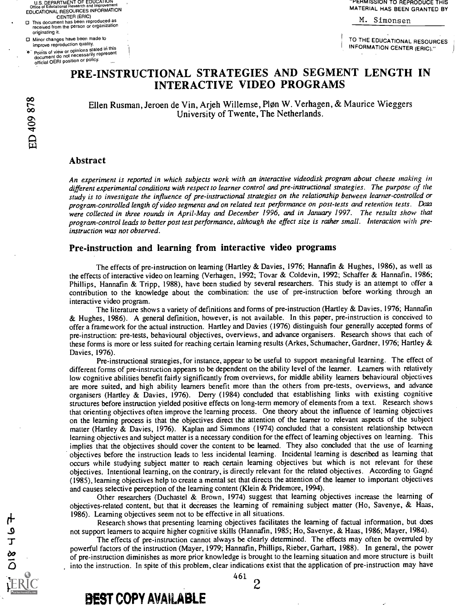U.S. DEPARTMENT OF EDUCATION<br>Office of Educational Research and Improvement Office of Educational Research and Improvement EDUCATIONAL RESOURCES INFORMATION

- CENTER (ERIC) 0 This document has been reproduced as received from the person or organization originating it.
- □ Minor changes have been made to<br>improve reproduction quality.
	- improve reproduction quality.<br>Points of view or opinions stated in this<br>document do not necessarily represent official OERI position or policy.

**PERMISSION TO REPRODUCE THIS** MATERIAL HAS BEEN GRANTED BY

M. Simonsen

TO THE EDUCATIONAL RESOURCES INFORMATION CENTER (ERIC)."

# PRE-INSTRUCTIONAL STRATEGIES AND SEGMENT LENGTH IN INTERACTIVE VIDEO PROGRAMS

Ellen Rusman, Jeroen de Vin, Arjeh Willemse, Pløn W. Verhagen, & Maurice Wieggers University of Twente, The Netherlands.

# Abstract

An experiment is reported in which subjects work with an interactive videodisk program about cheese making in different experimental conditions with respect to learner control and pre-instructional strategies. The purpose of the study is to investigate the influence of pre-instructional strategies on the relationship between learner-controlled or program-controlled length of video segments and on related test performance on post-tests and retention tests. Data were collected in three rounds in April-May and December 1996, and in January 1997. The results show that program-control leads to better post test performance, although the effect size is rather small. Interaction with preinstruction was not observed.

# Pre-instruction and learning from interactive video programs

The effects of pre-instruction on learning (Hartley & Davies, 1976; Hannafin & Hughes, 1986), as well as the effects of interactive video on learning (Verhagen, 1992; Tovar & Coldevin, 1992; Schaffer & Hannafin. 1986; Phillips, Hannafin & Tripp, 1988), have been studied by several researchers. This study is an attempt to offer a contribution to the knowledge about the combination: the use of pre-instruction before working through an interactive video program.

The literature shows a variety of definitions and forms of pre-instruction (Hartley & Davies, 1976; Hannafin & Hughes, 1986). A general definition, however, is not available. In this paper, pre-instruction is conceived to offer a framework for the actual instruction. Hartley and Davies (1976) distinguish four generally accepted forms of pre-instruction: pre-tests, behavioural objectives, overviews, and advance organisers. Research shows that each of these forms is more or less suited for reaching certain learning results (Arkes, Schumacher, Gardner, 1976; Hartley & Davies, 1976).

Pre-instructional strategies, for instance, appear to be useful to support meaningful learning. The effect of different forms of pre-instruction appears to be dependent on the ability level of the learner. Learners with relatively low cognitive abilities benefit fairly significantly from overviews, for middle ability learners behavioural objectives are more suited, and high ability learners benefit more than the others from pre-tests, overviews, and advance organisers (Hartley & Davies, 1976). Deny (1984) concluded that establishing links with existing cognitive structures before instruction yielded positive effects on long-term memory of elements from a text. Research shows that orienting objectives often improve the learning process. One theory about the influence of learning objectives on the learning process is that the objectives direct the attention of the learner to relevant aspects of the subject matter (Hartley & Davies, 1976). Kaplan and Simmons (1974) concluded that a consistent relationship between learning objectives and subject matter is a necessary condition for the effect of learning objectives on learning. This implies that the objectives should cover the content to be learned. They also concluded that the use of learning objectives before the instruction leads to less incidental learning. Incidental learning is described as learning that occurs while studying subject matter to reach certain learning objectives but which is not relevant for these objectives. Intentional learning, on the contrary, is directly relevant for the related objectives. According to Gagne (1985), learning objectives help to create a mental set that directs the attention of the learner to important objectives and causes selective perception of the learning content (Klein & Pridemore, 1994).

Other researchers (Duchastel & Brown, 1974) suggest that learning objectives increase the learning of objectives-related content, but that it decreases the learning of remaining subject matter (Ho, Savenye, & Haas, 1986). Learning objectives seem not to be effective in all situations.

Research shows that presenting learning objectives facilitates the learning of factual information, but does not support learners to acquire higher cognitive skills (Hannafin, 1985; Ho, Savenye, & Haas, 1986; Mayer, 1984).

The effects of pre-instruction cannot always be clearly determined. The effects may often be overruled by powerful factors of the instruction (Mayer, 1979; Hannafin, Phillips, Rieber, Garhart, 1988). In general, the power of pre-instruction diminishes as more prior knowledge is brought to the learning situation and more structure is built into the instruction. In spite of this problem, clear indications exist that the application of pre-instruction may have

2

878<br>c-- $\Omega$ 1.1-1

461

BEST COPY AVAILABLE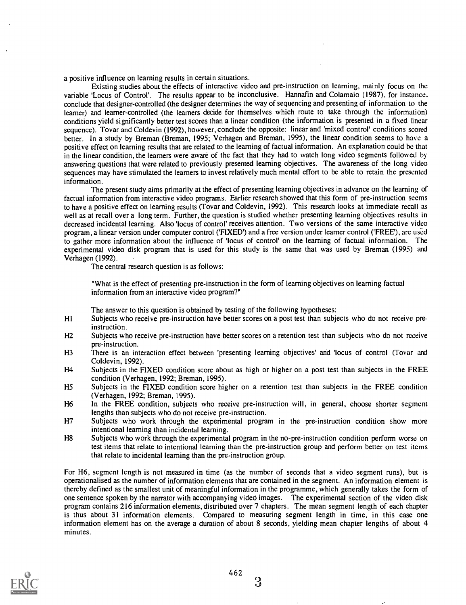a positive influence on learning results in certain situations.

Existing studies about the effects of interactive video and pre-instruction on learning, mainly focus on the variable 'Locus of Control'. The results appear to be inconclusive. Hannafin and Colamaio (1987), for instance. conclude that designer-controlled (the designer determines the way of sequencing and presenting of information to the learner) and learner-controlled (the learners decide for themselves which route to take through the information) conditions yield significantly better test scores than a linear condition (the information is presented in a fixed linear sequence). Tovar and Coldevin (1992), however, conclude the opposite: linear and 'mixed control' conditions scored better. In a study by Breman (Breman, 1995; Verhagen and Breman, 1995), the linear condition seems to have a positive effect on learning results that are related to the learning of factual information. An explanation could be that in the linear condition, the learners were aware of the fact that they had to watch long video segments followed by answering questions that were related to previously presented learning objectives. The awareness of the long video sequences may have stimulated the learners to invest relatively much mental effort to be able to retain the presented information.

The present study aims primarily at the effect of presenting learning objectives in advance on the learning of factual information from interactive video programs. Earlier research showed that this form of pre-instruction seems to have a positive effect on learning results (Tovar and Coldevin, 1992). This research looks at immediate recall as well as at recall over a long term. Further, the question is studied whether presenting learning objectives results in decreased incidental learning. Also 'locus of control' receives attention. Two versions of the same interactive video program, a linear version under computer control ('FIXED') and a free version under learner control ('FREE'), are used to gather more information about the influence of 'locus of control' on the learning of factual information. The experimental video disk program that is used for this study is the same that was used by Breman (1995) and Verhagen (1992).

The central research question is as follows:

"What is the effect of presenting pre-instruction in the form of learning objectives on learning factual information from an interactive video program?"

The answer to this question is obtained by testing of the following hypotheses:

- H1 Subjects who receive pre-instruction have better scores on a post test than subjects who do not receive preinstruction.
- H2 Subjects who receive pre-instruction have better scores on a retention test than subjects who do not receive pre-instruction.
- H3 There is an interaction effect between 'presenting learning objectives' and 'locus of control (Tovar and Coldevin, 1992).
- H4 Subjects in the FIXED condition score about as high or higher on a post test than subjects in the FREE condition (Verhagen, 1992; Breman, 1995).
- H5 Subjects in the FIXED condition score higher on a retention test than subjects in the FREE condition (Verhagen, 1992; Breman, 1995).
- H6 In the FREE condition, subjects who receive pre-instruction will, in general, choose shorter segment lengths than subjects who do not receive pre-instruction.
- H7 Subjects who work through the experimental program in the pre-instruction condition show more intentional learning than incidental learning.
- H8 Subjects who work through the experimental program in the no-pre-instruction condition perform worse on test items that relate to intentional learning than the pre-instruction group and perform better on test items that relate to incidental learning than the pre-instruction group.

For H6, segment length is not measured in time (as the number of seconds that a video segment runs), but is operationalised as the number of information elements that are contained in the segment. An information element is thereby defined as the smallest unit of meaningful information in the programme, which generally takes the form of one sentence spoken by the narrator with accompanying video images. The experimental section of the video disk program contains 216 information elements, distributed over 7 chapters. The mean segment length of each chapter is thus about 31 information elements. Compared to measuring segment length in time, in this case one information element has on the average a duration of about 8 seconds, yielding mean chapter lengths of about 4 minutes.



3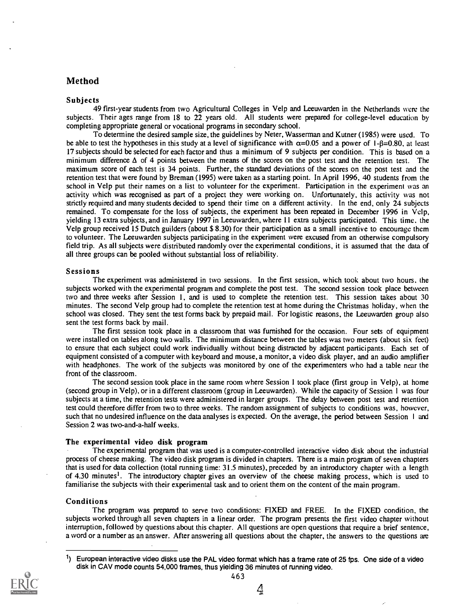# Method

#### Subjects

49 first-year students from two Agricultural Colleges in Velp and Leeuwarden in the Netherlands were the subjects. Their ages range from 18 to 22 years old. All students were prepared for college-level education by completing appropriate general or vocational programs in secondary school.

To determine the desired sample size, the guidelines by Neter, Wasserman and Kutner (1985) were used. To be able to test the hypotheses in this study at a level of significance with  $\alpha$ =0.05 and a power of 1-8=0.80, at least 17 subjects should be selected for each factor and thus a minimum of 9 subjects per condition. This is based on a minimum difference  $\Delta$  of 4 points between the means of the scores on the post test and the retention test. The maximum score of each test is 34 points. Further, the standard deviations of the scores on the post test and the retention test that were found by Breman (1995) were taken as a starting point. In April 1996, 40 students from the school in Velp put their names on a list to volunteer for the experiment. Participation in the experiment was an activity which was recognised as part of a project they were working on. Unfortunately, this activity was not strictly required and many students decided to spend their time on a different activity. In the end, only 24 subjects remained. To compensate for the loss of subjects, the experiment has been repeated in December 1996 in Velp, yielding 13 extra subjects, and in January 1997 in Leeuwarden, where 11 extra subjects participated. This time, the Velp group received 15 Dutch guilders (about \$ 8.30) for their participation as a small incentive to encourage them to volunteer. The Leeuwarden subjects participating in the experiment were excused from an otherwise compulsory field trip. As all subjects were distributed randomly over the experimental conditions, it is assumed that the data of all three groups can be pooled without substantial loss of reliability.

#### Sessions

The experiment was administered in two sessions. In the first session, which took about two hours, the subjects worked with the experimental program and complete the post test. The second session took place between two and three weeks after Session 1, and is used to complete the retention test. This session takes about 30 minutes. The second Velp group had to complete the retention test at home during the Christmas holiday, when the school was closed. They sent the test forms back by prepaid mail. For logistic reasons, the Leeuwarden group also sent the test forms back by mail.

The first session took place in a classroom that was furnished for the occasion. Four sets of equipment were installed on tables along two walls. The minimum distance between the tables was two meters (about six feet) to ensure that each subject could work individually without being distracted by adjacent participants. Each set of equipment consisted of a computer with keyboard and mouse, a monitor, a video disk player, and an audio amplifier with headphones. The work of the subjects was monitored by one of the experimenters who had a table near the front of the classroom.

The second session took place in the same room where Session 1 took place (first group in Velp), at home (second group in Velp), or in a different classroom (group in Leeuwarden). While the capacity of Session 1 was four subjects at a time, the retention tests were administered in larger groups. The delay between post test and retention test could therefore differ from two to three weeks. The random assignment of subjects to conditions was, however, such that no undesired influence on the data analyses is expected. On the average, the period between Session <sup>I</sup> and Session 2 was two-and-a-half weeks.

#### The experimental video disk program

The experimental program that was used is a computer-controlled interactive video disk about the industrial process of cheese making. The video disk program is divided in chapters. There is a main program of seven chapters that is used for data collection (total running time: 31.5 minutes), preceded by an introductory chapter with a length of 4.30 minutes<sup>1</sup>. The introductory chapter gives an overview of the cheese making process, which is used to familiarise the subjects with their experimental task and to orient them on the content of the main program.

#### Conditions

The program was prepared to serve two conditions: FIXED and FREE. In the FIXED condition, the subjects worked through all seven chapters in a linear order. The program presents the first video chapter without interruption, followed by questions about this chapter. All questions are open questions that require a brief sentence, a word or a number as an answer. After answering all questions about the chapter, the answers to the questions are

 $1)$  European interactive video disks use the PAL video format which has a frame rate of 25 fps. One side of a video disk in CAV mode counts 54,000 frames, thus yielding 36 minutes of running video.

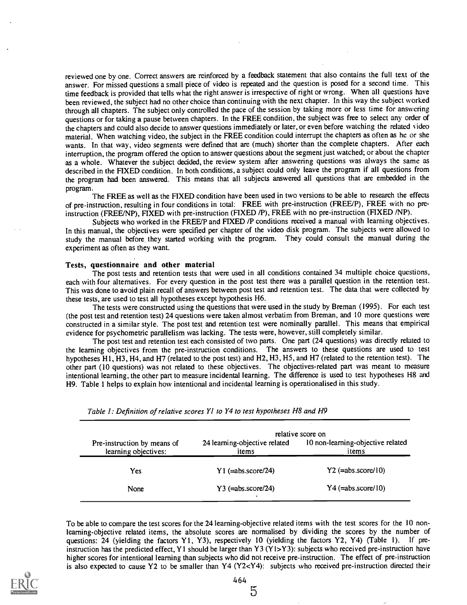reviewed one by one. Correct answers are reinforced by a feedback statement that also contains the full text of the answer. For missed questions a small piece of video is repeated and the question is posed for a second time. This time feedback is provided that tells what the right answer is irrespective of right or wrong. When all questions have been reviewed, the subject had no other choice than continuing with the next chapter. In this way the subject worked through all chapters. The subject only controlled the pace of the session by taking more or less time for answering questions or for taking a pause between chapters. In the FREE condition, the subject was free to select any order of the chapters and could also decide to answer questions immediately or later, or even before watching the related video material. When watching video, the subject in the FREE condition could interrupt the chapters as often as he or she wants. In that way, video segments were defined that are (much) shorter than the complete chapters. After each interruption, the program offered the option to answer questions about the segment just watched; or about the chapter as a whole. Whatever the subject decided, the review system after answering questions was always the same as described in the FIXED condition. In both conditions, a subject could only leave the program if all questions from the program had been answered. This means that all subjects answered all questions that are embedded in the program.

The FREE as well as the FIXED condition have been used in two versions to be able to research the effects of pre-instruction, resulting in four conditions in total: FREE with pre-instruction (FREE/P), FREE with no preinstruction (FREE/NP), FIXED with pre-instruction (FIXED /P), FREE with no pre-instruction (FIXED /NP).

Subjects who worked in the FREE/P and FIXED /P conditions received a manual with learning objectives. In this manual, the objectives were specified per chapter of the video disk program. The subjects were allowed to study the manual before they started working with the program. They could consult the manual during the experiment as often as they want.

#### Tests, questionnaire and other material

The post tests and retention tests that were used in all conditions contained 34 multiple choice questions, each with four alternatives. For every question in the post test there was a parallel question in the retention test. This was done to avoid plain recall of answers between post test and retention test. The data that were collected by these tests, are used to test all hypotheses except hypothesis H6.

The tests were constructed using the questions that were used in the study by Breman (1995). For each test (the post test and retention test) 24 questions were taken almost verbatim from Breman, and 10 more questions were constructed in a similar style. The post test and retention test were nominally parallel. This means that empirical evidence for psychometric parallelism was lacking. The tests were, however, still completely similar.

The post test and retention test each consisted of two parts. One part (24 questions) was directly related to the learning objectives from the pre-instruction conditions. The answers to these questions are used to test hypotheses HI, H3, H4, and H7 (related to the post test) and H2, H3, H5, and H7 (related to the retention test). The other part (10 questions) was not related to these objectives. The objectives-related part was meant to measure intentional learning, the other part to measure incidental learning. The difference is used to test hypotheses H8 and H9. Table 1 helps to explain how intentional and incidental learning is operationalised in this study.

|                                                     |                                        | relative score on                          |
|-----------------------------------------------------|----------------------------------------|--------------------------------------------|
| Pre-instruction by means of<br>learning objectives: | 24 learning-objective related<br>items | 10 non-learning-objective related<br>items |
| Yes                                                 | $Y1$ (=abs.score/24)                   | $Y2$ (=abs.score/10)                       |
| None                                                | $Y3$ (=abs.score/24)                   | $Y4 (=abs.score/10)$                       |

Table 1: Definition of relative scores Y1 to Y4 to test hypotheses H8 and H9

To be able to compare the test scores for the 24 learning-objective related items with the test scores for the 10 nonlearning-objective related items, the absolute scores are normalised by dividing the scores by the number of questions: 24 (yielding the factors Y1, Y3), respectively 10 (yielding the factors Y2, Y4) (Table 1). If preinstruction has the predicted effect, Y1 should be larger than Y3 (Y1>Y3): subjects who received pre-instruction have higher scores for intentional learning than subjects who did not receive pre-instruction. The effect of pre-instruction is also expected to cause Y2 to be smaller than Y4 (Y2<Y4): subjects who received pre-instruction directed their

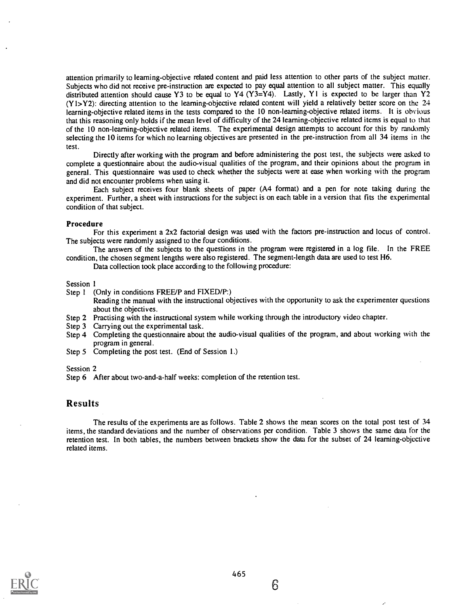attention primarily to learning-objective related content and paid less attention to other parts of the subject matter. Subjects who did not receive pre-instruction are expected to pay equal attention to all subject matter. This equally distributed attention should cause Y3 to be equal to Y4 (Y3=Y4). Lastly, Y1 is expected to be larger than Y2 (Y1>Y2): directing attention to the learning-objective related content will yield a relatively better score on the 24 learning-objective related items in the tests compared to the 10 non-learning-objective related items. It is obvious that this reasoning only holds if the mean level of difficulty of the 24 learning-objective related items is equal to that of the 10 non-learning-objective related items. The experimental design attempts to account for this by randomly selecting the 10 items for which no learning objectives are presented in the pre-instruction from all 34 items in the test.

Directly after working with the program and before administering the post test, the subjects were asked to complete a questionnaire about the audio-visual qualities of the program, and their opinions about the program in general. This questionnaire was used to check whether the subjects were at ease when working with the program and did not encounter problems when using it.

Each subject receives four blank sheets of paper (A4 format) and a pen for note taking during the experiment. Further, a sheet with instructions for the subject is on each table in a version that fits the experimental condition of that subject.

#### Procedure

For this experiment a 2x2 factorial design was used with the factors pre-instruction and locus of control. The subjects were randomly assigned to the four conditions.

The answers of the subjects to the questions in the program were registered in a log file. In the FREE condition, the chosen segment lengths were also registered. The segment-length data are used to test H6.

Data collection took place according to the following procedure:

#### Session 1

Step 1 (Only in conditions FREE/P and FIXED/P:)

Reading the manual with the instructional objectives with the opportunity to ask the experimenter questions about the objectives.

- Step 2 Practising with the instructional system while working through the introductory video chapter.
- Step 3 Carrying out the experimental task.
- Step 4 Completing the questionnaire about the audio-visual qualities of the program, and about working with the program in general.
- Step 5 Completing the post test. (End of Session 1.)

Session 2

Step 6 After about two-and-a-half weeks: completion of the retention test.

# Results

The results of the experiments are as follows. Table 2 shows the mean scores on the total post test of 34 items, the standard deviations and the number of observations per condition. Table 3 shows the same data for the retention test. In both tables, the numbers between brackets show the data for the subset of 24 learning-objective related items.

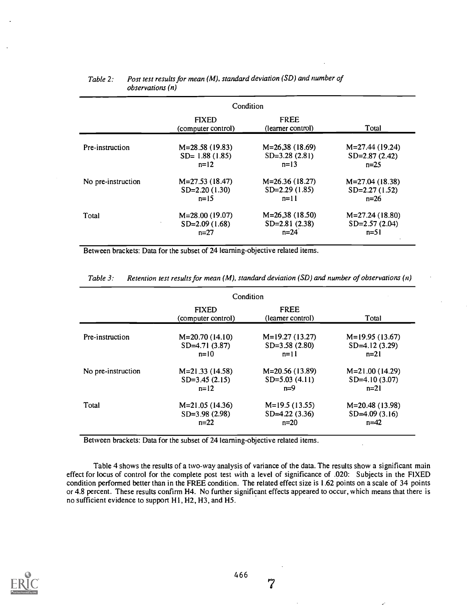|                    | Condition                          |                                  |                  |
|--------------------|------------------------------------|----------------------------------|------------------|
|                    | <b>FIXED</b><br>(computer control) | <b>FREE</b><br>(learner control) | Total            |
| Pre-instruction    | $M=28.58(19.83)$                   | $M=26,38(18.69)$                 | $M=27.44(19.24)$ |
|                    | $SD = 1.88(1.85)$                  | $SD=3.28(2.81)$                  | $SD=2.87(2.42)$  |
|                    | $n=12$                             | $n=13$                           | $n=25$           |
| No pre-instruction | $M=27.53(18.47)$                   | $M=26.36(18.27)$                 | $M=27.04(18.38)$ |
|                    | $SD=2.20(1.30)$                    | $SD=2.29(1.85)$                  | $SD=2.27(1.52)$  |
|                    | $n=15$                             | $n=11$                           | $n=26$           |
| Total              | $M=28.00(19.07)$                   | $M=26.38(18.50)$                 | $M=27.24(18.80)$ |
|                    | $SD=2.09(1.68)$                    | $SD=2.81(2.38)$                  | $SD=2.57(2.04)$  |
|                    | $n=27$                             | $n = 24$                         | $n=51$           |

## Table 2: Post test results for mean (M), standard deviation (SD) and number of observations (n)

Between brackets: Data for the subset of 24 learning-objective related items.

|                    | Condition                          |                                  |                  |
|--------------------|------------------------------------|----------------------------------|------------------|
|                    | <b>FIXED</b><br>(computer control) | <b>FREE</b><br>(learner control) | Total            |
| Pre-instruction    | $M=20.70(14.10)$                   | $M=19.27(13.27)$                 | $M=19.95(13.67)$ |
|                    | $SD = 4.71(3.87)$                  | $SD=3.58(2.80)$                  | $SD=4.12(3.29)$  |
|                    | $n=10$                             | $n=11$                           | $n=21$           |
| No pre-instruction | $M=21.33(14.58)$                   | M=20.56 (13.89)                  | $M=21.00(14.29)$ |
|                    | $SD=3.45(2.15)$                    | $SD=5.03(4.11)$                  | $SD=4.10(3.07)$  |
|                    | $n=12$                             | $n=9$                            | $n=21$           |
| Total              | $M=21.05(14.36)$                   | $M=19.5(13.55)$                  | $M=20.48(13.98)$ |
|                    | $SD=3.98(2.98)$                    | $SD = 4.22$ (3.36)               | $SD=4.09(3.16)$  |
|                    | $n=22$                             | $n=20$                           | $n = 42$         |

Table 3: Retention test results for mean  $(M)$ , standard deviation (SD) and number of observations  $(n)$ 

Between brackets: Data for the subset of 24 learning-objective related items.

Table 4 shows the results of a two-way analysis of variance of the data. The results show a significant main effect for locus of control for the complete post test with a level of significance of .020: Subjects in the FIXED condition performed better than in the FREE condition. The related effect size is 1.62 points on a scale of 34 points or 4.8 percent. These results confirm H4. No further significant effects appeared to occur, which means that there is no sufficient evidence to support HI, H2, H3, and H5.

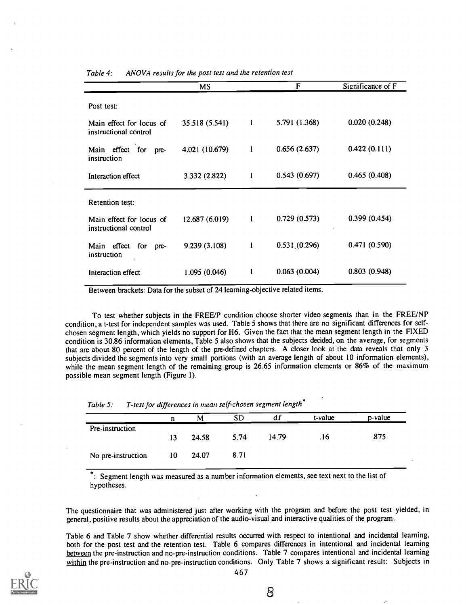|                                                   | <b>MS</b>      |              | F             | Significance of F |
|---------------------------------------------------|----------------|--------------|---------------|-------------------|
| Post test:                                        |                |              |               |                   |
| Main effect for locus of<br>instructional control | 35.518 (5.541) | $\mathbf{I}$ | 5.791 (1.368) | 0.020(0.248)      |
| Main effect for<br>pre-<br>instruction            | 4.021 (10.679) | 1            | 0.656(2.637)  | 0.422(0.111)      |
| Interaction effect                                | 3.332 (2.822)  | 1            | 0.543(0.697)  | 0.465(0.408)      |
| Retention test:                                   |                |              |               |                   |
| Main effect for locus of<br>instructional control | 12.687 (6.019) | $\mathbf{I}$ | 0.729(0.573)  | 0.399(0.454)      |
| Main effect<br>for<br>pre-<br>instruction         | 9.239 (3.108)  | $\mathbf{I}$ | 0.531(0.296)  | 0.471(0.590)      |
| Interaction effect                                | 1.095(0.046)   |              | 0.063(0.004)  | 0.803(0.948)      |

Table 4: ANOVA results for the post test and the retention test

Between brackets: Data for the subset of 24 learning-objective related items.

To test whether subjects in the FREE/P condition choose shorter video segments than in the FREE/NP condition, a t-test for independent samples was used. Table 5 shows that there are no significant differences for selfchosen segment length, which yields no support for H6. Given the fact that the mean segment length in the FIXED condition is 30.86 information elements, Table 5 also shows that the subjects decided, on the average, for segments that are about 80 percent of the length of the pre-defined chapters. A closer look at the data reveals that only 3 subjects divided the segments into very small portions (with an average length of about 10 information elements), while the mean segment length of the remaining group is 26.65 information elements or 86% of the maximum possible mean segment length (Figure 1).

| Table 5: |  | T-test for differences in mean self-chosen segment length" |
|----------|--|------------------------------------------------------------|
|----------|--|------------------------------------------------------------|

|                    | п  | M     | SD   | di    | t-value | p-value |
|--------------------|----|-------|------|-------|---------|---------|
| Pre-instruction    |    |       |      |       |         |         |
|                    | 13 | 24.58 | 5.74 | 14.79 | .16     | .875    |
| No pre-instruction | 10 | 24.07 | 8.71 |       |         |         |

\*: Segment length was measured as a number information elements, see text next to the list of hypotheses.

The questionnaire that was administered just after working with the program and before the post test yielded, in general, positive results about the appreciation of the audio-visual and interactive qualities of the program.

Table 6 and Table 7 show whether differential results occurred with respect to intentional and incidental learning, both for the post test and the retention test. Table 6 compares differences in intentional and incidental learning between the pre-instruction and no-pre-instruction conditions. Table 7 compares intentional and incidental learning within the pre-instruction and no-pre-instruction conditions. Only Table 7 shows a significant result: Subjects in



8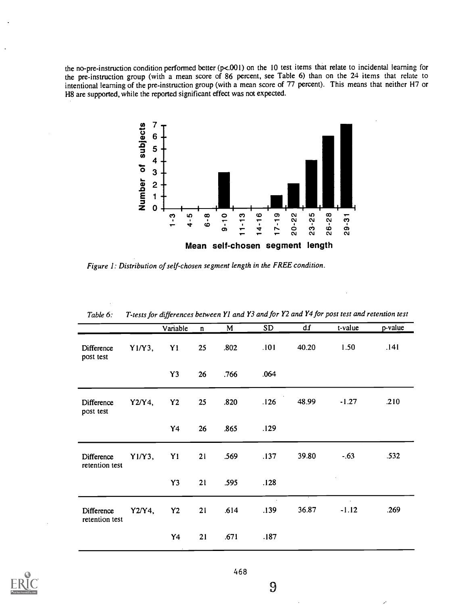the no-pre-instruction condition performed better (p<.001) on the 10 test items that relate to incidental learning for the pre-instruction group (with a mean score of 86 percent, see Table 6) than on the 24 items that relate to intentional learning of the pre-instruction group (with a mean score of 77 percent). This means that neither H7 or H8 are supported, while the reported significant effect was not expected.



Figure 1: Distribution of self-chosen segment length in the FREE condition.

| <i>Lable O.</i>              | $I$ -lests for differences between 11 and 15 and for 12 and 14 for post lest and retendon lest |                |              |      |           |       |         |         |
|------------------------------|------------------------------------------------------------------------------------------------|----------------|--------------|------|-----------|-------|---------|---------|
|                              |                                                                                                | Variable       | $\mathbf{n}$ | M    | <b>SD</b> | df    | t-value | p-value |
| Difference<br>post test      | $Y1/Y3$ ,                                                                                      | Y1             | 25           | .802 | .101      | 40.20 | 1.50    | .141    |
|                              |                                                                                                | Y3             | 26           | .766 | .064      |       |         |         |
| Difference<br>post test      | $Y2/Y4$ ,                                                                                      | Y2             | 25           | .820 | .126      | 48.99 | $-1.27$ | .210    |
|                              |                                                                                                | Y4             | 26           | .865 | .129      |       |         |         |
| Difference<br>retention test | $Y1/Y3$ ,                                                                                      | Y1             | 21           | .569 | .137      | 39.80 | $-.63$  | .532    |
|                              |                                                                                                | Y3             | 21           | .595 | .128      |       |         |         |
| Difference<br>retention test | $Y2/Y4$ ,                                                                                      | Y <sub>2</sub> | 21           | .614 | .139      | 36.87 | $-1.12$ | .269    |
|                              |                                                                                                | Y4             | 21           | .671 | .187      |       |         |         |

 $T_{t}$  and  $T_{t}$  and  $T_{t}$  and  $T_{t}$  and  $T_{t}$  for post test and retention test and retention test and retention test and  $T_{t}$ 



9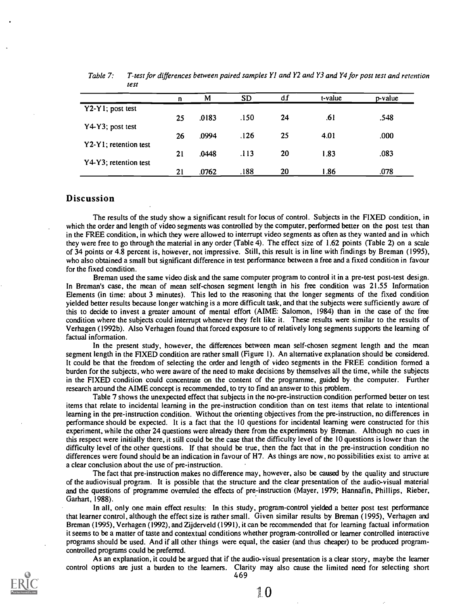|                       | n  | М     | <b>SD</b> | df | t-value | p-value |
|-----------------------|----|-------|-----------|----|---------|---------|
| Y2-Y1; post test      |    | .0183 | .150      | 24 | .61     | .548    |
| Y4-Y3; post test      | 25 |       |           |    |         |         |
|                       | 26 | .0994 | .126      | 25 | 4.01    | .000    |
| Y2-Y1; retention test | 21 | .0448 | .113      | 20 | 1.83    | .083    |
| Y4-Y3; retention test | 21 | .0762 | .188      | 20 | 86.     | .078    |

Table 7: T-test for differences between paired samples Y1 and Y2 and Y3 and Y4 for post test and retention test

### Discussion

The results of the study show a significant result for locus of control. Subjects in the FIXED condition, in which the order and length of video segments was controlled by the computer, performed better on the post test than in the FREE condition, in which they were allowed to interrupt video segments as often as they wanted and in which they were free to go through the material in any order (Table 4). The effect size of 1.62 points (Table 2) on a scale of 34 points or 4.8 percent is, however, not impressive. Still, this result is in line with findings by Breman (1995), who also obtained a small but significant difference in test performance between a free and a fixed condition in favour for the fixed condition.

Breman used the same video disk and the same computer program to control it in a pre-test post-test design. In Breman's case, the mean of mean self-chosen segment length in his free condition was 21.55 Information Elements (in time: about 3 minutes). This led to the reasoning that the longer segments of the fixed condition yielded better results because longer watching is a more difficult task, and that the subjects were sufficiently aware of this to decide to invest a greater amount of mental effort (AIME: Salomon, 1984) than in the case of the free condition where the subjects could interrupt whenever they felt like it. These results were similar to the results of Verhagen (1992b). Also Verhagen found that forced exposure to of relatively long segments supports the learning of factual information.

In the present study, however, the differences between mean self-chosen segment length and the mean segment length in the FIXED condition are rather small (Figure 1). An alternative explanation should be considered. It could be that the freedom of selecting the order and length of video segments in the FREE condition formed a burden for the subjects, who were aware of the need to make decisions by themselves all the time, while the subjects in the FIXED condition could concentrate on the content of the programme, guided by the computer. Further research around the AIME concept is recommended, to try to find an answer to this problem.

Table 7 shows the unexpected effect that subjects in the no-pre-instruction condition performed better on test items that relate to incidental learning in the pre-instruction condition than on test items that relate to intentional learning in the pre-instruction condition. Without the orienting objectives from the pre-instruction, no differences in performance should be expected. It is a fact that the 10 questions for incidental learning were constructed for this experiment, while the other 24 questions were already there from the experiments by Breman. Although no cues in this respect were initially there, it still could be the case that the difficulty level of the 10 questions is lower than the difficulty level of the other questions. If that should be true, then the fact that in the pre-instruction condition no differences were found should be an indication in favour of H7. As things are now, no possibilities exist to arrive at a clear conclusion about the use of pre-instruction.

The fact that pre-instruction makes no difference may, however, also be caused by the quality and structure of the audiovisual program. It is possible that the structure and the clear presentation of the audio-visual material and the questions of programme overruled the effects of pre-instruction (Mayer, 1979; Hannafin, Phillips, Rieber, Garhart, 1988).

In all, only one main effect results: In this study, program-control yielded a better post test performance that learner control, although the effect size is rather small. Given similar results by Breman (1995), Verhagen and Breman (1995), Verhagen (1992), and Zijderveld (1991), it can be recommended that for learning factual information it seems to be a matter of taste and contextual conditions whether program-controlled or learner controlled interactive programs should be used. And if all other things were equal, the easier (and thus cheaper) to be produced programcontrolled programs could be preferred.

As an explanation, it could be argued that if the audio-visual presentation is a clear story, maybe the learner control options are just a burden to the learners. Clarity may also cause the limited need for selecting short 469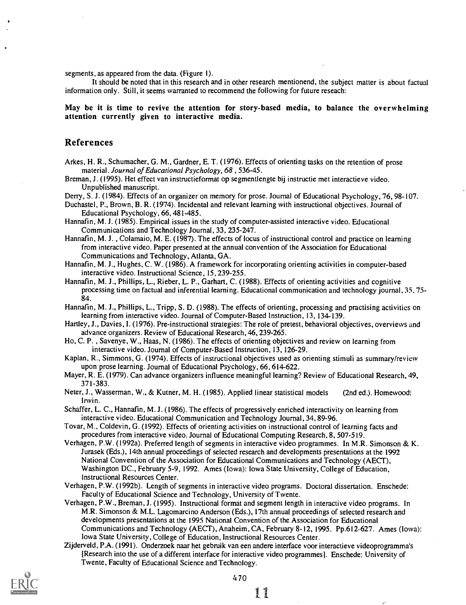segments, as appeared from the data. (Figure 1).

It should be noted that in this research and in other research mentionend, the subject matter is about factual information only. Still, it seems warranted to recommend the following for future reseach:

May be it is time to revive the attention for story-based media, to balance the overwhelming attention currently given to interactive media.

## References

- Arkes, H. R., Schumacher, G. M., Gardner, E. T. (1976). Effects of orienting tasks on the retention of prose material. Journal of Educational Psychology, 68 , 536-45.
- Breman, J. (1995). Het effect van instructieformat op segmentlengte bij instructie met interactieve video. Unpublished manuscript.
- Derry, S. J. (1984). Effects of an organizer on memory for prose. Journal of Educational Psychology, 76,98-107.

Duchastel, P., Brown, B. R. (1974). Incidental and relevant learning with instructional objectives. Journal of Educational Psychology, 66,481-485.

- Hannafin, M. J. (1985). Empirical issues in the study of computer-assisted interactive video. Educational Communications and Technology Journal, 33,235-247.
- Hannafin, M. J. , Colamaio, M. E. (1987). The effects of locus of instructional control and practice on learning from interactive video. Paper presented at the annual convention of the Association for Educational Communications and Technology, Atlanta, GA.
- Hannafin, M. J., Hughes, C. W. (1986). A framework for incorporating orienting activities in computer-based interactive video. Instructional Science, 15,239-255.
- Hannafin, M. J., Phillips, L., Rieber, L. P., Garhart, C. (1988). Effects of orienting activities and cognitive processing time on factual and inferential learning. Educational communication and technology journal, 35,75- 84.

Hannafin, M. J., Phillips, L., Tripp, S. D. (1988). The effects of orienting, processing and practising activities on learning from interactive video. Journal of Computer-Based Instruction, 13, 134-139.

- Hartley, J., Davies, I. (1976). Pre-instructional strategies: The role of pretest, behavioral objectives, overviews and advance organizers. Review of Educational Research, 46,239-265.
- Ho, C. P. , Savenye, W., Haas, N. (1986). The effects of orienting objectives and review on learning from interactive video. Journal of Computer-Based Instruction, 13,126-29.
- Kaplan, R., Simmons, G. (1974). Effects of instructional objectives used as orienting stimuli as summary/review upon prose learning. Journal of Educational Psychology, 66,614622.

Mayer, R. E. (1979). Can advance organizers influence meaningful learning? Review of Educational Research, 49, 371-383.

Neter, J., Wasserman, W., & Kutner, M. H. (1985). Applied linear statistical models (2nd ed.). Homewood: Irwin.

Schaffer, L. C., Hannafin, M. J. (1986). The effects of progressively enriched interactivity on learning from interactive video. Educational Communication and Technology Journal, 34,89-96.

- Tovar, M., Coldevin, G. (1992). Effects of orienting activities on instructional control of learning facts and procedures from interactive video. Journal of Educational Computing Research, 8,507-519.
- Verhagen, P.W. (1992a). Preferred length of segments in interactive video programmes. In M.R. Simonson & K. Jurasek (Eds.), 14th annual proceedings of selected research and developments presentations at the 1992 National Convention of the Association for Educational Communications and Technology (AECT), Washington DC., February 5-9,1992. Ames (Iowa): Iowa State University, College of Education, Instructional Resources Center.
- Verhagen, P.W. (1992b). Length of segments in interactive video programs. Doctoral dissertation. Enschede: Faculty of Educational Science and Technology, University of Twente.
- Verhagen, P.W., Breman, J. (1995). Instructional format and segment length in interactive video programs. In M.R. Simonson & M.L. Lagomarcino Anderson (Eds.), 17th annual proceedings of selected research and developments presentations at the 1995 National Convention of the Association for Educational Communications and Technology (AECT), Anaheim, CA, February 8-12,1995. Pp.612-627. Ames (Iowa): Iowa State University, College of Education, Instructional Resources Center.
- Zijderveld, P.A. (1991). Onderzoek naar het gebruik van een andere interface voor interactieve videoprogramma's [Research into the use of a different interface for interactive video programmes]. Enschede: University of Twente, Faculty of Educational Science and Technology.